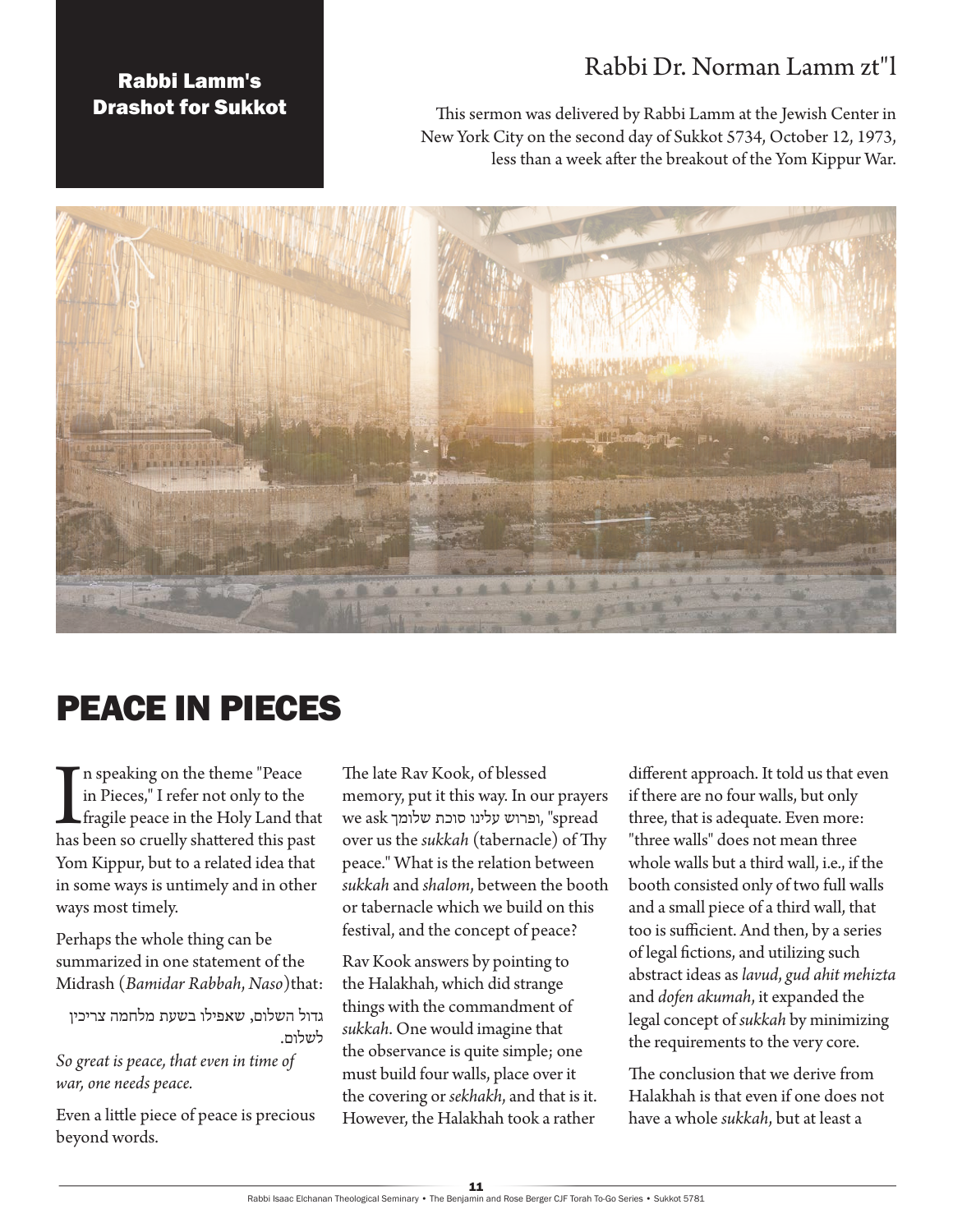## Rabbi Dr. Norman Lamm zt"l

## Rabbi Lamm's Drashot for Sukkot

This sermon was delivered by Rabbi Lamm at the Jewish Center in New York City on the second day of Sukkot 5734, October 12, 1973, less than a week after the breakout of the Yom Kippur War.



## PEACE IN PIECES

In speaking on the theme "Peace in Pieces," I refer not only to the fragile peace in the Holy Land that has been so cruelly shattered this past n speaking on the theme "Peace in Pieces," I refer not only to the fragile peace in the Holy Land that Yom Kippur, but to a related idea that in some ways is untimely and in other ways most timely.

Perhaps the whole thing can be summarized in one statement of the Midrash (*Bamidar Rabbah*, *Naso*)that:

גדול השלום, שאפילו בשעת מלחמה צריכין לשלום.

*So great is peace, that even in time of war, one needs peace.*

Even a little piece of peace is precious beyond words.

The late Rav Kook, of blessed memory, put it this way. In our prayers spread ",ופרוש עלינו סוכת שלומך ask we over us the *sukkah* (tabernacle) of Thy peace." What is the relation between *sukkah* and *shalom*, between the booth or tabernacle which we build on this festival, and the concept of peace?

Rav Kook answers by pointing to the Halakhah, which did strange things with the commandment of *sukkah*. One would imagine that the observance is quite simple; one must build four walls, place over it the covering or *sekhakh*, and that is it. However, the Halakhah took a rather different approach. It told us that even if there are no four walls, but only three, that is adequate. Even more: "three walls" does not mean three whole walls but a third wall, i.e., if the booth consisted only of two full walls and a small piece of a third wall, that too is sufficient. And then, by a series of legal fictions, and utilizing such abstract ideas as *lavud*, *gud ahit mehizta* and *dofen akumah*, it expanded the legal concept of *sukkah* by minimizing the requirements to the very core.

The conclusion that we derive from Halakhah is that even if one does not have a whole *sukkah*, but at least a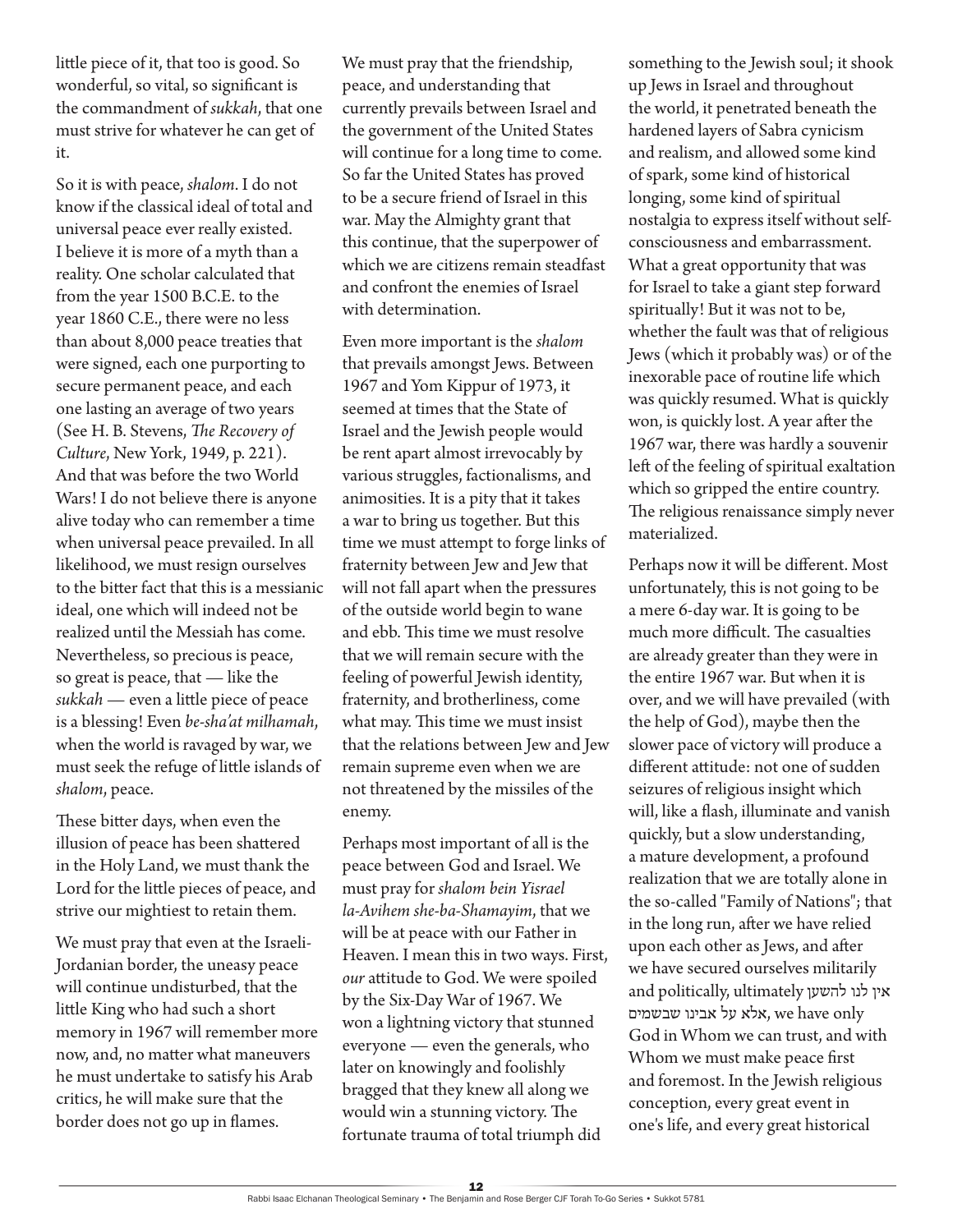little piece of it, that too is good. So wonderful, so vital, so significant is the commandment of *sukkah*, that one must strive for whatever he can get of it.

So it is with peace, *shalom*. I do not know if the classical ideal of total and universal peace ever really existed. I believe it is more of a myth than a reality. One scholar calculated that from the year 1500 B.C.E. to the year 1860 C.E., there were no less than about 8,000 peace treaties that were signed, each one purporting to secure permanent peace, and each one lasting an average of two years (See H. B. Stevens, *The Recovery of Culture*, New York, 1949, p. 221). And that was before the two World Wars! I do not believe there is anyone alive today who can remember a time when universal peace prevailed. In all likelihood, we must resign ourselves to the bitter fact that this is a messianic ideal, one which will indeed not be realized until the Messiah has come. Nevertheless, so precious is peace, so great is peace, that — like the *sukkah* — even a little piece of peace is a blessing! Even *be-sha'at milhamah*, when the world is ravaged by war, we must seek the refuge of little islands of *shalom*, peace.

These bitter days, when even the illusion of peace has been shattered in the Holy Land, we must thank the Lord for the little pieces of peace, and strive our mightiest to retain them.

We must pray that even at the Israeli-Jordanian border, the uneasy peace will continue undisturbed, that the little King who had such a short memory in 1967 will remember more now, and, no matter what maneuvers he must undertake to satisfy his Arab critics, he will make sure that the border does not go up in flames.

We must pray that the friendship, peace, and understanding that currently prevails between Israel and the government of the United States will continue for a long time to come. So far the United States has proved to be a secure friend of Israel in this war. May the Almighty grant that this continue, that the superpower of which we are citizens remain steadfast and confront the enemies of Israel with determination.

Even more important is the *shalom* that prevails amongst Jews. Between 1967 and Yom Kippur of 1973, it seemed at times that the State of Israel and the Jewish people would be rent apart almost irrevocably by various struggles, factionalisms, and animosities. It is a pity that it takes a war to bring us together. But this time we must attempt to forge links of fraternity between Jew and Jew that will not fall apart when the pressures of the outside world begin to wane and ebb. This time we must resolve that we will remain secure with the feeling of powerful Jewish identity, fraternity, and brotherliness, come what may. This time we must insist that the relations between Jew and Jew remain supreme even when we are not threatened by the missiles of the enemy.

Perhaps most important of all is the peace between God and Israel. We must pray for *shalom bein Yisrael la-Avihem she-ba-Shamayim*, that we will be at peace with our Father in Heaven. I mean this in two ways. First, *our* attitude to God. We were spoiled by the Six-Day War of 1967. We won a lightning victory that stunned everyone — even the generals, who later on knowingly and foolishly bragged that they knew all along we would win a stunning victory. The fortunate trauma of total triumph did

something to the Jewish soul; it shook up Jews in Israel and throughout the world, it penetrated beneath the hardened layers of Sabra cynicism and realism, and allowed some kind of spark, some kind of historical longing, some kind of spiritual nostalgia to express itself without selfconsciousness and embarrassment. What a great opportunity that was for Israel to take a giant step forward spiritually! But it was not to be, whether the fault was that of religious Jews (which it probably was) or of the inexorable pace of routine life which was quickly resumed. What is quickly won, is quickly lost. A year after the 1967 war, there was hardly a souvenir left of the feeling of spiritual exaltation which so gripped the entire country. The religious renaissance simply never materialized.

Perhaps now it will be different. Most unfortunately, this is not going to be a mere 6-day war. It is going to be much more difficult. The casualties are already greater than they were in the entire 1967 war. But when it is over, and we will have prevailed (with the help of God), maybe then the slower pace of victory will produce a different attitude: not one of sudden seizures of religious insight which will, like a flash, illuminate and vanish quickly, but a slow understanding, a mature development, a profound realization that we are totally alone in the so-called "Family of Nations"; that in the long run, after we have relied upon each other as Jews, and after we have secured ourselves militarily and politically, ultimately אין לנו להשען אלא על אבינו שבשמים, we have only God in Whom we can trust, and with Whom we must make peace first and foremost. In the Jewish religious conception, every great event in one's life, and every great historical